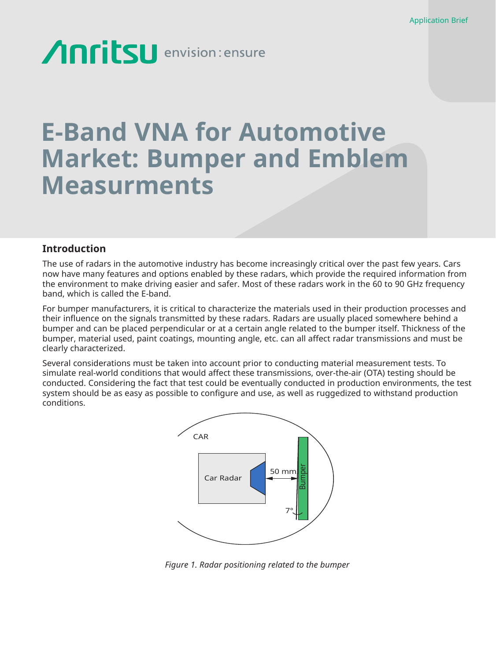# Anritsu envision: ensure

# **E-Band VNA for Automotive Market: Bumper and Emblem Measurments**

#### **Introduction**

The use of radars in the automotive industry has become increasingly critical over the past few years. Cars now have many features and options enabled by these radars, which provide the required information from the environment to make driving easier and safer. Most of these radars work in the 60 to 90 GHz frequency band, which is called the E-band.

For bumper manufacturers, it is critical to characterize the materials used in their production processes and their influence on the signals transmitted by these radars. Radars are usually placed somewhere behind a bumper and can be placed perpendicular or at a certain angle related to the bumper itself. Thickness of the bumper, material used, paint coatings, mounting angle, etc. can all affect radar transmissions and must be clearly characterized.

Several considerations must be taken into account prior to conducting material measurement tests. To simulate real-world conditions that would affect these transmissions, over-the-air (OTA) testing should be conducted. Considering the fact that test could be eventually conducted in production environments, the test system should be as easy as possible to configure and use, as well as ruggedized to withstand production conditions.



*Figure 1. Radar positioning related to the bumper*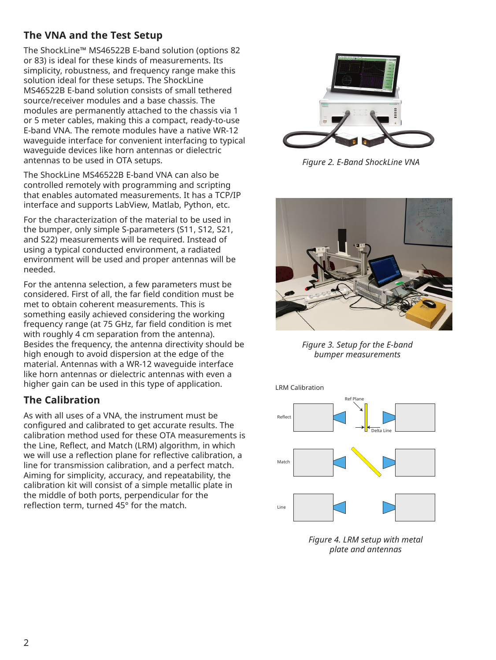# **The VNA and the Test Setup**

The ShockLine™ MS46522B E-band solution (options 82 or 83) is ideal for these kinds of measurements. Its simplicity, robustness, and frequency range make this solution ideal for these setups. The ShockLine MS46522B E-band solution consists of small tethered source/receiver modules and a base chassis. The modules are permanently attached to the chassis via 1 or 5 meter cables, making this a compact, ready-to-use E-band VNA. The remote modules have a native WR-12 waveguide interface for convenient interfacing to typical waveguide devices like horn antennas or dielectric antennas to be used in OTA setups.

The ShockLine MS46522B E-band VNA can also be controlled remotely with programming and scripting that enables automated measurements. It has a TCP/IP interface and supports LabView, Matlab, Python, etc.

For the characterization of the material to be used in the bumper, only simple S-parameters (S11, S12, S21, and S22) measurements will be required. Instead of using a typical conducted environment, a radiated environment will be used and proper antennas will be needed.

For the antenna selection, a few parameters must be considered. First of all, the far field condition must be met to obtain coherent measurements. This is something easily achieved considering the working frequency range (at 75 GHz, far field condition is met with roughly 4 cm separation from the antenna). Besides the frequency, the antenna directivity should be high enough to avoid dispersion at the edge of the material. Antennas with a WR-12 waveguide interface like horn antennas or dielectric antennas with even a higher gain can be used in this type of application.

## **The Calibration**

As with all uses of a VNA, the instrument must be configured and calibrated to get accurate results. The calibration method used for these OTA measurements is the Line, Reflect, and Match (LRM) algorithm, in which we will use a reflection plane for reflective calibration, a line for transmission calibration, and a perfect match. Aiming for simplicity, accuracy, and repeatability, the calibration kit will consist of a simple metallic plate in the middle of both ports, perpendicular for the reflection term, turned 45° for the match.



*Figure 2. E-Band ShockLine VNA*



*Figure 3. Setup for the E-band bumper measurements*



*Figure 4. LRM setup with metal plate and antennas*